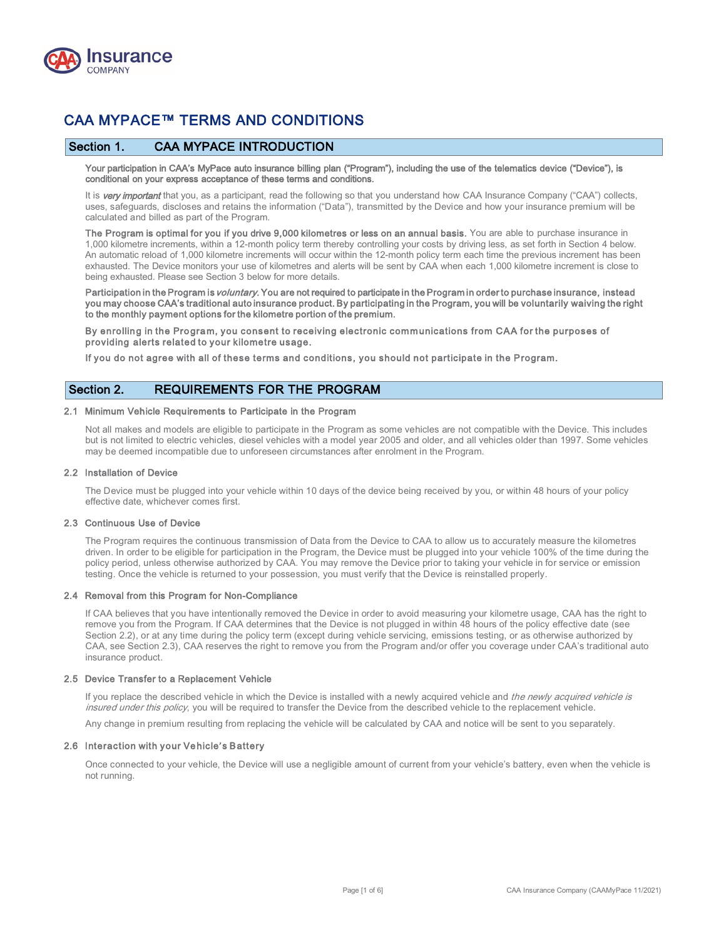

# CAA MYPACE™ TERMS AND CONDITIONS

# Section 1. CAA MYPACE INTRODUCTION

Your participation in CAA's MyPace auto insurance billing plan ("Program"), including the use of the telematics device ("Device"), is conditional on your express acceptance of these terms and conditions.

It is very important that you, as a participant, read the following so that you understand how CAA Insurance Company ("CAA") collects, uses, safeguards, discloses and retains the information ("Data"), transmitted by the Device and how your insurance premium will be calculated and billed as part of the Program.

The Program is optimal for you if you drive 9,000 kilometres or less on an annual basis. You are able to purchase insurance in 1,000 kilometre increments, within a 12-month policy term thereby controlling your costs by driving less, as set forth in Section 4 below. An automatic reload of 1,000 kilometre increments will occur within the 12-month policy term each time the previous increment has been exhausted. The Device monitors your use of kilometres and alerts will be sent by CAA when each 1,000 kilometre increment is close to being exhausted. Please see Section 3 below for more details.

Participation in the Program is *voluntary*. You are not required to participate in the Program in order to purchase insurance, instead you may choose CAA's traditional auto insurance product. By participating in the Program, you will be voluntarily waiving the right to the monthly payment options for the kilometre portion of the premium.

By enrolling in the Program, you consent to receiving electronic communications from CAA for the purposes of providing alerts related to your kilometre usage.

If you do not agree with all of these terms and conditions, you should not participate in the Program.

# Section 2. REQUIREMENTS FOR THE PROGRAM

### 2.1 Minimum Vehicle Requirements to Participate in the Program

Not all makes and models are eligible to participate in the Program as some vehicles are not compatible with the Device. This includes but is not limited to electric vehicles, diesel vehicles with a model year 2005 and older, and all vehicles older than 1997. Some vehicles may be deemed incompatible due to unforeseen circumstances after enrolment in the Program.

#### 2.2 Installation of Device

The Device must be plugged into your vehicle within 10 days of the device being received by you, or within 48 hours of your policy effective date, whichever comes first.

#### 2.3 Continuous Use of Device

The Program requires the continuous transmission of Data from the Device to CAA to allow us to accurately measure the kilometres driven. In order to be eligible for participation in the Program, the Device must be plugged into your vehicle 100% of the time during the policy period, unless otherwise authorized by CAA. You may remove the Device prior to taking your vehicle in for service or emission testing. Once the vehicle is returned to your possession, you must verify that the Device is reinstalled properly.

#### 2.4 Removal from this Program for Non-Compliance

If CAA believes that you have intentionally removed the Device in order to avoid measuring your kilometre usage, CAA has the right to remove you from the Program. If CAA determines that the Device is not plugged in within 48 hours of the policy effective date (see Section 2.2), or at any time during the policy term (except during vehicle servicing, emissions testing, or as otherwise authorized by CAA, see Section 2.3), CAA reserves the right to remove you from the Program and/or offer you coverage under CAA's traditional auto insurance product.

#### 2.5 Device Transfer to a Replacement Vehicle

If you replace the described vehicle in which the Device is installed with a newly acquired vehicle and the newly acquired vehicle is insured under this policy, you will be required to transfer the Device from the described vehicle to the replacement vehicle.

Any change in premium resulting from replacing the vehicle will be calculated by CAA and notice will be sent to you separately.

#### 2.6 Interaction with your Vehicle**'**s Battery

Once connected to your vehicle, the Device will use a negligible amount of current from your vehicle's battery, even when the vehicle is not running.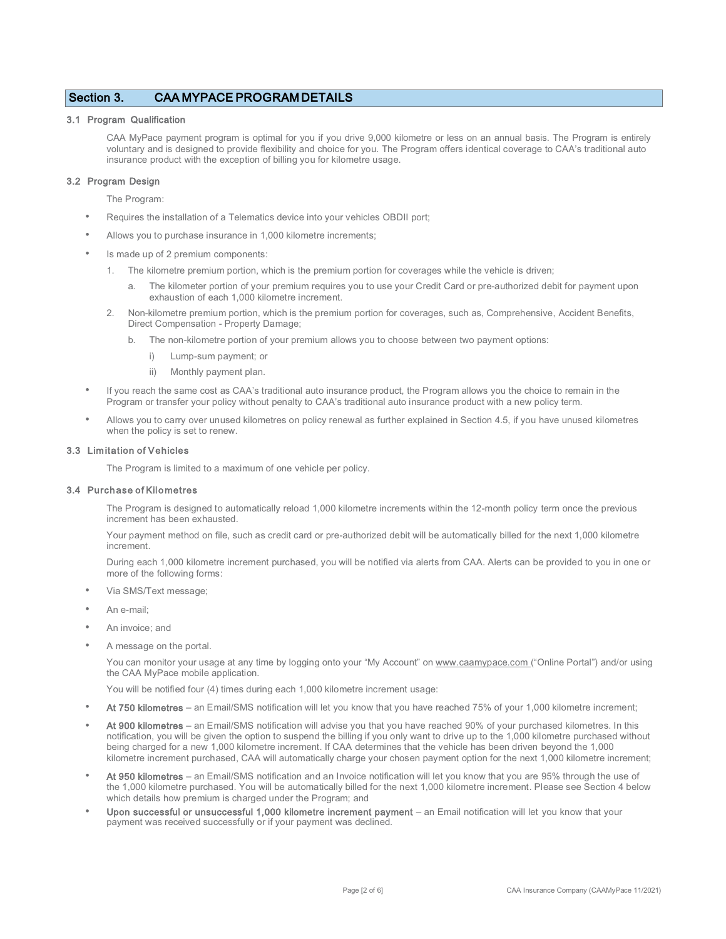# Section 3. CAA MYPACE PROGRAM DETAILS

### 3.1 Program Qualification

CAA MyPace payment program is optimal for you if you drive 9,000 kilometre or less on an annual basis. The Program is entirely voluntary and is designed to provide flexibility and choice for you. The Program offers identical coverage to CAA's traditional auto insurance product with the exception of billing you for kilometre usage.

### 3.2 Program Design

The Program:

- Requires the installation of a Telematics device into your vehicles OBDII port;
- Allows you to purchase insurance in 1,000 kilometre increments;
- Is made up of 2 premium components:
	- 1. The kilometre premium portion, which is the premium portion for coverages while the vehicle is driven;
		- a. The kilometer portion of your premium requires you to use your Credit Card or pre-authorized debit for payment upon exhaustion of each 1,000 kilometre increment.
	- 2. Non-kilometre premium portion, which is the premium portion for coverages, such as, Comprehensive, Accident Benefits, Direct Compensation - Property Damage;
		- b. The non-kilometre portion of your premium allows you to choose between two payment options:
			- i) Lump-sum payment; or
			- ii) Monthly payment plan.
- If you reach the same cost as CAA's traditional auto insurance product, the Program allows you the choice to remain in the Program or transfer your policy without penalty to CAA's traditional auto insurance product with a new policy term.
- Allows you to carry over unused kilometres on policy renewal as further explained in Section 4.5, if you have unused kilometres when the policy is set to renew.

#### 3.3 Limitation of Vehicles

The Program is limited to a maximum of one vehicle per policy.

#### 3.4 Purchase of Kilometres

The Program is designed to automatically reload 1,000 kilometre increments within the 12-month policy term once the previous increment has been exhausted.

Your payment method on file, such as credit card or pre-authorized debit will be automatically billed for the next 1,000 kilometre increment.

During each 1,000 kilometre increment purchased, you will be notified via alerts from CAA. Alerts can be provided to you in one or more of the following forms:

- Via SMS/Text message;
- An e-mail:
- An invoice; and
- A message on the portal.

You can monitor your usage at any time by logging onto your "My Account" on [www.caamypace.com \(](http://www.caamypace.com/)"Online Portal") and/or using the CAA MyPace mobile application.

You will be notified four (4) times during each 1,000 kilometre increment usage:

- At 750 kilometres an Email/SMS notification will let you know that you have reached 75% of your 1,000 kilometre increment;
- At 900 kilometres an Email/SMS notification will advise you that you have reached 90% of your purchased kilometres. In this notification, you will be given the option to suspend the billing if you only want to drive up to the 1,000 kilometre purchased without being charged for a new 1,000 kilometre increment. If CAA determines that the vehicle has been driven beyond the 1,000 kilometre increment purchased, CAA will automatically charge your chosen payment option for the next 1,000 kilometre increment;
- At 950 kilometres an Email/SMS notification and an Invoice notification will let you know that you are 95% through the use of the 1,000 kilometre purchased. You will be automatically billed for the next 1,000 kilometre increment. Please see Section 4 below which details how premium is charged under the Program; and
- Upon successful or unsuccessful 1,000 kilometre increment payment an Email notification will let you know that your payment was received successfully or if your payment was declined.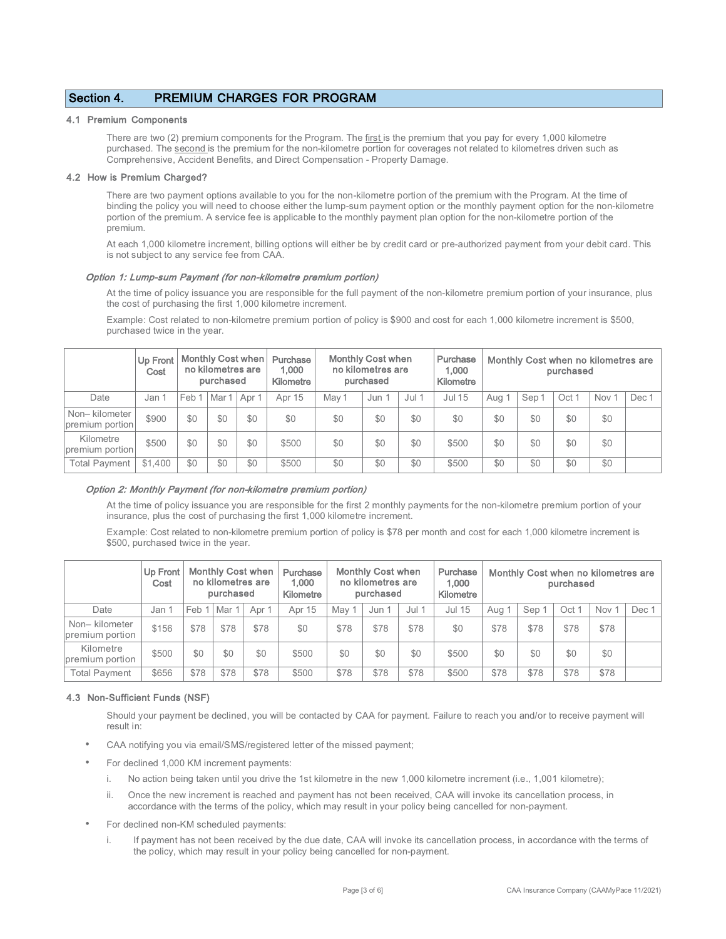# Section 4. PREMIUM CHARGES FOR PROGRAM

#### 4.1 Premium Components

There are two (2) premium components for the Program. The first is the premium that you pay for every 1,000 kilometre purchased. The second is the premium for the non-kilometre portion for coverages not related to kilometres driven such as Comprehensive, Accident Benefits, and Direct Compensation - Property Damage.

#### 4.2 How is Premium Charged?

There are two payment options available to you for the non-kilometre portion of the premium with the Program. At the time of binding the policy you will need to choose either the lump-sum payment option or the monthly payment option for the non-kilometre portion of the premium. A service fee is applicable to the monthly payment plan option for the non-kilometre portion of the premium.

At each 1,000 kilometre increment, billing options will either be by credit card or pre-authorized payment from your debit card. This is not subject to any service fee from CAA.

#### Option 1: Lump-sum Payment (for non-kilometre premium portion)

At the time of policy issuance you are responsible for the full payment of the non-kilometre premium portion of your insurance, plus the cost of purchasing the first 1,000 kilometre increment.

Example: Cost related to non-kilometre premium portion of policy is \$900 and cost for each 1,000 kilometre increment is \$500, purchased twice in the year.

|                                  | <b>Up Front</b><br>Cost | Monthly Cost when<br>no kilometres are<br>purchased |                                   |     | Purchase<br>1.000<br>Kilometre | <b>Monthly Cost when</b><br>no kilometres are<br>purchased |       |       | Purchase<br>1.000<br>Kilometre | Monthly Cost when no kilometres are<br>purchased |                  |       |                  |       |
|----------------------------------|-------------------------|-----------------------------------------------------|-----------------------------------|-----|--------------------------------|------------------------------------------------------------|-------|-------|--------------------------------|--------------------------------------------------|------------------|-------|------------------|-------|
| Date                             | Jan 1                   | Feb 1                                               | Mar <sub>1</sub> Apr <sub>1</sub> |     | Apr 15                         | May 1                                                      | Jun 1 | Jul 1 | Jul 15                         | Aug                                              | Sep <sup>-</sup> | Oct 1 | Nov <sup>-</sup> | Dec 1 |
| Non-kilometer<br>premium portion | \$900                   | \$0                                                 | \$0                               | \$0 | \$0                            | \$0                                                        | \$0   | \$0   | \$0                            | \$0                                              | \$0              | \$0   | \$0              |       |
| Kilometre<br>premium portion     | \$500                   | \$0                                                 | \$0                               | \$0 | \$500                          | \$0                                                        | \$0   | \$0   | \$500                          | \$0                                              | \$0              | \$0   | \$0              |       |
| <b>Total Payment</b>             | \$1,400                 | \$0                                                 | \$0                               | \$0 | \$500                          | \$0                                                        | \$0   | \$0   | \$500                          | \$0                                              | \$0              | \$0   | \$0              |       |

### Option 2: Monthly Payment (for non-kilometre premium portion)

At the time of policy issuance you are responsible for the first 2 monthly payments for the non-kilometre premium portion of your insurance, plus the cost of purchasing the first 1,000 kilometre increment.

Example: Cost related to non-kilometre premium portion of policy is \$78 per month and cost for each 1,000 kilometre increment is \$500, purchased twice in the year.

|                                  | <b>Up Front</b><br>Cost | <b>Monthly Cost when</b><br>no kilometres are<br>purchased |      |       | Purchase<br>1.000<br>Kilometre | <b>Monthly Cost when</b><br>no kilometres are<br>purchased |       |         | Purchase<br>1,000<br>Kilometre | Monthly Cost when no kilometres are<br>purchased |      |       |                  |       |
|----------------------------------|-------------------------|------------------------------------------------------------|------|-------|--------------------------------|------------------------------------------------------------|-------|---------|--------------------------------|--------------------------------------------------|------|-------|------------------|-------|
| Date                             | Jan 1                   | Feb                                                        | Mar  | Apr 1 | Apr 15                         | May 1                                                      | Jun 1 | $Jul$ 1 | <b>Jul 15</b>                  | . Aug                                            | Sep  | Oct 1 | Nov <sub>1</sub> | Dec 1 |
| Non-kilometer<br>premium portion | \$156                   | \$78                                                       | \$78 | \$78  | \$0                            | \$78                                                       | \$78  | \$78    | \$0                            | \$78                                             | \$78 | \$78  | \$78             |       |
| Kilometre<br>premium portion     | \$500                   | \$0                                                        | \$0  | \$0   | \$500                          | \$0                                                        | \$0   | \$0     | \$500                          | \$0                                              | \$0  | \$0   | \$0              |       |
| <b>Total Payment</b>             | \$656                   | \$78                                                       | \$78 | \$78  | \$500                          | \$78                                                       | \$78  | \$78    | \$500                          | \$78                                             | \$78 | \$78  | \$78             |       |

### 4.3 Non-Sufficient Funds (NSF)

Should your payment be declined, you will be contacted by CAA for payment. Failure to reach you and/or to receive payment will result in:

- CAA notifying you via email/SMS/registered letter of the missed payment;
- For declined 1,000 KM increment payments:
	- i. No action being taken until you drive the 1st kilometre in the new 1,000 kilometre increment (i.e., 1,001 kilometre);
	- ii. Once the new increment is reached and payment has not been received, CAA will invoke its cancellation process, in accordance with the terms of the policy, which may result in your policy being cancelled for non-payment.
- For declined non-KM scheduled payments:
	- i. If payment has not been received by the due date, CAA will invoke its cancellation process, in accordance with the terms of the policy, which may result in your policy being cancelled for non-payment.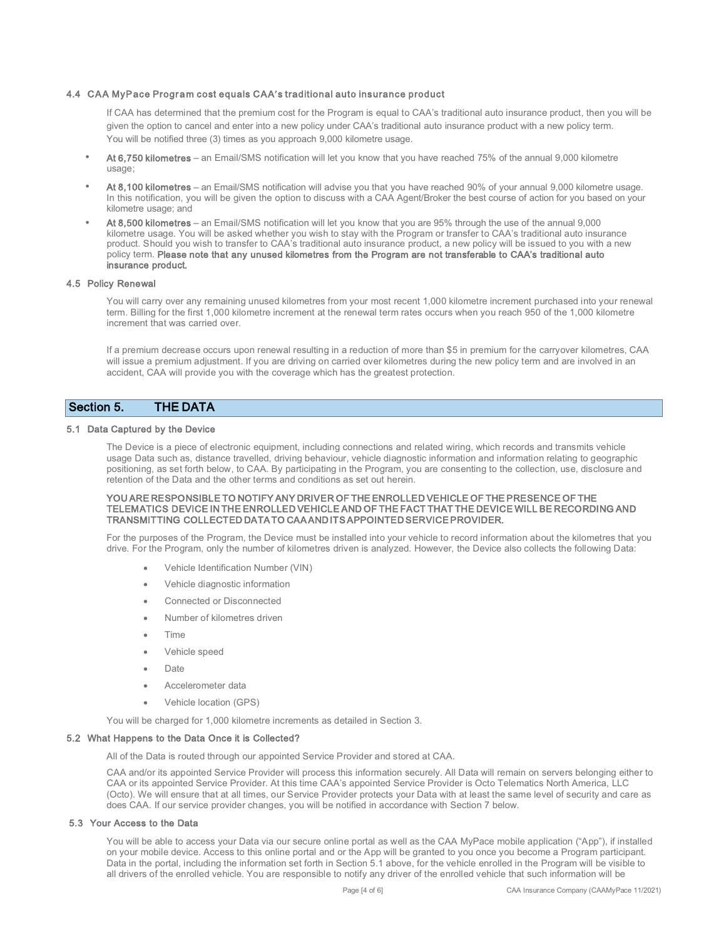#### 4.4 CAA MyPace Program cost equals CAA**'**s traditional auto insurance product

If CAA has determined that the premium cost for the Program is equal to CAA's traditional auto insurance product, then you will be given the option to cancel and enter into a new policy under CAA's traditional auto insurance product with a new policy term. You will be notified three (3) times as you approach 9,000 kilometre usage.

- At 6,750 kilometres an Email/SMS notification will let you know that you have reached 75% of the annual 9,000 kilometre usage:
- At 8,100 kilometres an Email/SMS notification will advise you that you have reached 90% of your annual 9,000 kilometre usage. In this notification, you will be given the option to discuss with a CAA Agent/Broker the best course of action for you based on your kilometre usage; and
- At 8,500 kilometres an Email/SMS notification will let you know that you are 95% through the use of the annual 9,000 kilometre usage. You will be asked whether you wish to stay with the Program or transfer to CAA's traditional auto insurance product. Should you wish to transfer to CAA's traditional auto insurance product, a new policy will be issued to you with a new policy term. Please note that any unused kilometres from the Program are not transferable to CAA's traditional auto insurance product.

#### 4.5 Policy Renewal

You will carry over any remaining unused kilometres from your most recent 1,000 kilometre increment purchased into your renewal term. Billing for the first 1,000 kilometre increment at the renewal term rates occurs when you reach 950 of the 1,000 kilometre increment that was carried over.

If a premium decrease occurs upon renewal resulting in a reduction of more than \$5 in premium for the carryover kilometres, CAA will issue a premium adjustment. If you are driving on carried over kilometres during the new policy term and are involved in an accident, CAA will provide you with the coverage which has the greatest protection.

# Section 5. THE DATA

### 5.1 Data Captured by the Device

The Device is a piece of electronic equipment, including connections and related wiring, which records and transmits vehicle usage Data such as, distance travelled, driving behaviour, vehicle diagnostic information and information relating to geographic positioning, as set forth below, to CAA. By participating in the Program, you are consenting to the collection, use, disclosure and retention of the Data and the other terms and conditions as set out herein.

#### YOU ARE RESPONSIBLE TO NOTIFY ANY DRIVER OF THE ENROLLED VEHICLE OF THE PRESENCE OF THE TELEMATICS DEVICE IN THE ENROLLED VEHICLE AND OF THE FACT THAT THE DEVICE WILL BE RECORDING AND TRANSMITTING COLLECTED DATA TO CAA AND ITS APPOINTED SERVICE PROVIDER.

For the purposes of the Program, the Device must be installed into your vehicle to record information about the kilometres that you drive. For the Program, only the number of kilometres driven is analyzed. However, the Device also collects the following Data:

- Vehicle Identification Number (VIN)
- Vehicle diagnostic information
- Connected or Disconnected
- Number of kilometres driven
- Time
- Vehicle speed
- Date
- Accelerometer data
- Vehicle location (GPS)

You will be charged for 1,000 kilometre increments as detailed in Section 3.

#### 5.2 What Happens to the Data Once it is Collected?

All of the Data is routed through our appointed Service Provider and stored at CAA.

CAA and/or its appointed Service Provider will process this information securely. All Data will remain on servers belonging either to CAA or its appointed Service Provider. At this time CAA's appointed Service Provider is Octo Telematics North America, LLC (Octo). We will ensure that at all times, our Service Provider protects your Data with at least the same level of security and care as does CAA. If our service provider changes, you will be notified in accordance with Section 7 below.

#### 5.3 Your Access to the Data

You will be able to access your Data via our secure online portal as well as the CAA MyPace mobile application ("App"), if installed on your mobile device. Access to this online portal and or the App will be granted to you once you become a Program participant. Data in the portal, including the information set forth in Section 5.1 above, for the vehicle enrolled in the Program will be visible to all drivers of the enrolled vehicle. You are responsible to notify any driver of the enrolled vehicle that such information will be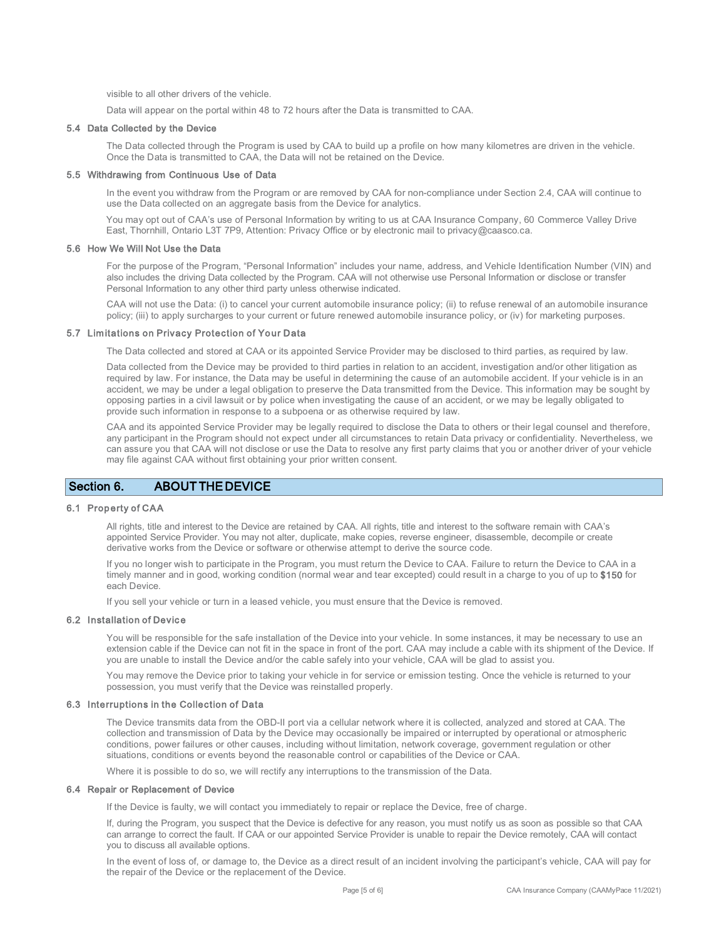visible to all other drivers of the vehicle.

Data will appear on the portal within 48 to 72 hours after the Data is transmitted to CAA.

#### 5.4 Data Collected by the Device

The Data collected through the Program is used by CAA to build up a profile on how many kilometres are driven in the vehicle. Once the Data is transmitted to CAA, the Data will not be retained on the Device.

#### 5.5 Withdrawing from Continuous Use of Data

In the event you withdraw from the Program or are removed by CAA for non-compliance under Section 2.4, CAA will continue to use the Data collected on an aggregate basis from the Device for analytics.

You may opt out of CAA's use of Personal Information by writing to us at CAA Insurance Company, 60 Commerce Valley Drive East, Thornhill, Ontario L3T 7P9, Attention: Privacy Office or by electronic mail to [privacy@caasco.ca.](mailto:privacy@caasco.ca)

### 5.6 How We Will Not Use the Data

For the purpose of the Program, "Personal Information" includes your name, address, and Vehicle Identification Number (VIN) and also includes the driving Data collected by the Program. CAA will not otherwise use Personal Information or disclose or transfer Personal Information to any other third party unless otherwise indicated.

CAA will not use the Data: (i) to cancel your current automobile insurance policy; (ii) to refuse renewal of an automobile insurance policy; (iii) to apply surcharges to your current or future renewed automobile insurance policy, or (iv) for marketing purposes.

### 5.7 Limitations on Privacy Protection of Your Data

The Data collected and stored at CAA or its appointed Service Provider may be disclosed to third parties, as required by law.

Data collected from the Device may be provided to third parties in relation to an accident, investigation and/or other litigation as required by law. For instance, the Data may be useful in determining the cause of an automobile accident. If your vehicle is in an accident, we may be under a legal obligation to preserve the Data transmitted from the Device. This information may be sought by opposing parties in a civil lawsuit or by police when investigating the cause of an accident, or we may be legally obligated to provide such information in response to a subpoena or as otherwise required by law.

CAA and its appointed Service Provider may be legally required to disclose the Data to others or their legal counsel and therefore, any participant in the Program should not expect under all circumstances to retain Data privacy or confidentiality. Nevertheless, we can assure you that CAA will not disclose or use the Data to resolve any first party claims that you or another driver of your vehicle may file against CAA without first obtaining your prior written consent.

# Section 6. ABOUT THE DEVICE

### 6.1 Property of CAA

All rights, title and interest to the Device are retained by CAA. All rights, title and interest to the software remain with CAA's appointed Service Provider. You may not alter, duplicate, make copies, reverse engineer, disassemble, decompile or create derivative works from the Device or software or otherwise attempt to derive the source code.

If you no longer wish to participate in the Program, you must return the Device to CAA. Failure to return the Device to CAA in a timely manner and in good, working condition (normal wear and tear excepted) could result in a charge to you of up to \$150 for each Device.

If you sell your vehicle or turn in a leased vehicle, you must ensure that the Device is removed.

#### 6.2 Installation of Device

You will be responsible for the safe installation of the Device into your vehicle. In some instances, it may be necessary to use an extension cable if the Device can not fit in the space in front of the port. CAA may include a cable with its shipment of the Device. If you are unable to install the Device and/or the cable safely into your vehicle, CAA will be glad to assist you.

You may remove the Device prior to taking your vehicle in for service or emission testing. Once the vehicle is returned to your possession, you must verify that the Device was reinstalled properly.

### 6.3 Interruptions in the Collection of Data

The Device transmits data from the OBD-II port via a cellular network where it is collected, analyzed and stored at CAA. The collection and transmission of Data by the Device may occasionally be impaired or interrupted by operational or atmospheric conditions, power failures or other causes, including without limitation, network coverage, government regulation or other situations, conditions or events beyond the reasonable control or capabilities of the Device or CAA.

Where it is possible to do so, we will rectify any interruptions to the transmission of the Data.

#### 6.4 Repair or Replacement of Device

If the Device is faulty, we will contact you immediately to repair or replace the Device, free of charge.

If, during the Program, you suspect that the Device is defective for any reason, you must notify us as soon as possible so that CAA can arrange to correct the fault. If CAA or our appointed Service Provider is unable to repair the Device remotely, CAA will contact you to discuss all available options.

In the event of loss of, or damage to, the Device as a direct result of an incident involving the participant's vehicle, CAA will pay for the repair of the Device or the replacement of the Device.